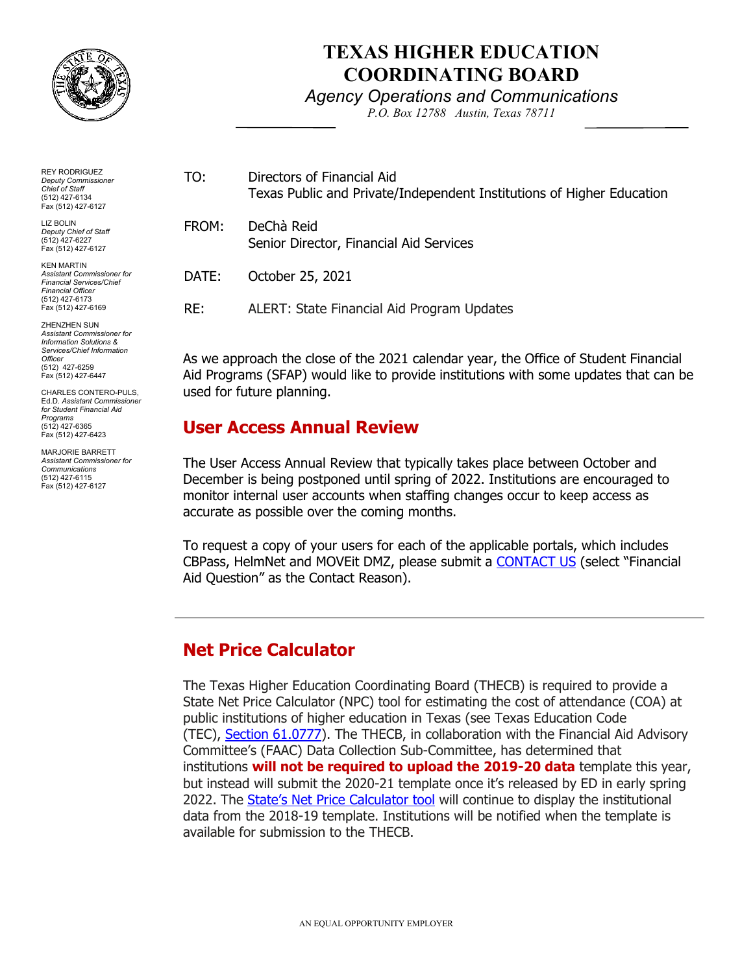

Fax (512) 427-6423 MARJORIE BARRETT *Assistant Commissioner for Communications*  (512) 427-6115 Fax (512) 427-6127

# **TEXAS HIGHER EDUCATION COORDINATING BOARD**

#### *Agency Operations and Communications*

*P.O. Box 12788 Austin, Texas 78711* 

| <b>REY RODRIGUEZ</b><br><b>Deputy Commissioner</b><br><b>Chief of Staff</b><br>(512) 427-6134<br>Fax (512) 427-6127                                                      | TO:                                                                                                                                                                         | Directors of Financial Aid<br>Texas Public and Private/Independent Institutions of Higher Education |
|--------------------------------------------------------------------------------------------------------------------------------------------------------------------------|-----------------------------------------------------------------------------------------------------------------------------------------------------------------------------|-----------------------------------------------------------------------------------------------------|
| <b>LIZ BOLIN</b><br>Deputy Chief of Staff<br>(512) 427-6227<br>Fax (512) 427-6127                                                                                        | FROM:                                                                                                                                                                       | DeChà Reid<br>Senior Director, Financial Aid Services                                               |
| <b>KEN MARTIN</b><br>Assistant Commissioner for<br><b>Financial Services/Chief</b><br><b>Financial Officer</b>                                                           | DATE:                                                                                                                                                                       | October 25, 2021                                                                                    |
| (512) 427-6173<br>Fax (512) 427-6169                                                                                                                                     | RE:                                                                                                                                                                         | ALERT: State Financial Aid Program Updates                                                          |
| <b>ZHENZHEN SUN</b><br>Assistant Commissioner for<br><b>Information Solutions &amp;</b><br>Services/Chief Information<br>Officer<br>(512) 427-6259<br>Fax (512) 427-6447 | As we approach the close of the 2021 calendar year, the Office of Student Financial<br>Aid Programs (SFAP) would like to provide institutions with some updates that can be |                                                                                                     |
| CHARLES CONTERO-PULS,<br>Ed.D. Assistant Commissioner<br>for Student Financial Aid<br>Programs                                                                           | used for future planning.<br>User Access Annual Review                                                                                                                      |                                                                                                     |
| (512) 427-6365                                                                                                                                                           |                                                                                                                                                                             |                                                                                                     |

### **User Access Annual Review**

 The User Access Annual Review that typically takes place between October and December is being postponed until spring of 2022. Institutions are encouraged to monitor internal user accounts when staffing changes occur to keep access as accurate as possible over the coming months.

 To request a copy of your users for each of the applicable portals, which includes CBPass, HelmNet and MOVEit DMZ, please submit a <u>CONTACT US</u> (select "Financial Aid Question" as the Contact Reason).

## **Net Price Calculator**

 The Texas Higher Education Coordinating Board (THECB) is required to provide a State Net Price Calculator (NPC) tool for estimating the cost of attendance (COA) at public institutions of higher education in Texas (see Texas Education Code (TEC), <u>Section 61.0777</u>). The THECB, in collaboration with the Financial Aid Advisory Committee's (FAAC) Data Collection Sub-Committee, has determined that  institutions **will not be required to upload the 2019-20 data** template this year, but instead will submit the 2020-21 template once it's released by ED in early spring 2022. The <u>State's Net Price Calculator tool</u> will continue to display the institutional data from the 2018-19 template. Institutions will be notified when the template is available for submission to the THECB.